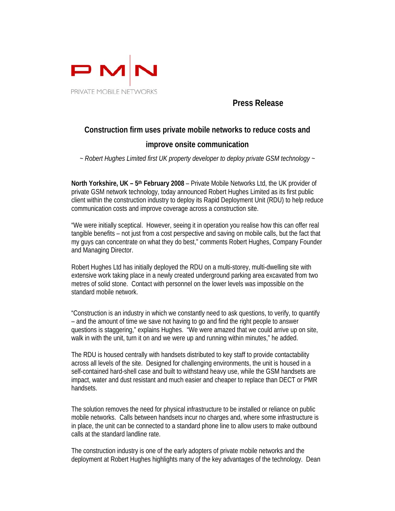

## **Press Release**

# **Construction firm uses private mobile networks to reduce costs and improve onsite communication**

*~ Robert Hughes Limited first UK property developer to deploy private GSM technology ~* 

**North Yorkshire, UK – 5th February 2008** – Private Mobile Networks Ltd, the UK provider of private GSM network technology, today announced Robert Hughes Limited as its first public client within the construction industry to deploy its Rapid Deployment Unit (RDU) to help reduce communication costs and improve coverage across a construction site.

"We were initially sceptical. However, seeing it in operation you realise how this can offer real tangible benefits – not just from a cost perspective and saving on mobile calls, but the fact that my guys can concentrate on what they do best," comments Robert Hughes, Company Founder and Managing Director.

Robert Hughes Ltd has initially deployed the RDU on a multi-storey, multi-dwelling site with extensive work taking place in a newly created underground parking area excavated from two metres of solid stone. Contact with personnel on the lower levels was impossible on the standard mobile network.

"Construction is an industry in which we constantly need to ask questions, to verify, to quantify – and the amount of time we save not having to go and find the right people to answer questions is staggering," explains Hughes. "We were amazed that we could arrive up on site, walk in with the unit, turn it on and we were up and running within minutes," he added.

The RDU is housed centrally with handsets distributed to key staff to provide contactability across all levels of the site. Designed for challenging environments, the unit is housed in a self-contained hard-shell case and built to withstand heavy use, while the GSM handsets are impact, water and dust resistant and much easier and cheaper to replace than DECT or PMR handsets.

The solution removes the need for physical infrastructure to be installed or reliance on public mobile networks. Calls between handsets incur no charges and, where some infrastructure is in place, the unit can be connected to a standard phone line to allow users to make outbound calls at the standard landline rate.

The construction industry is one of the early adopters of private mobile networks and the deployment at Robert Hughes highlights many of the key advantages of the technology. Dean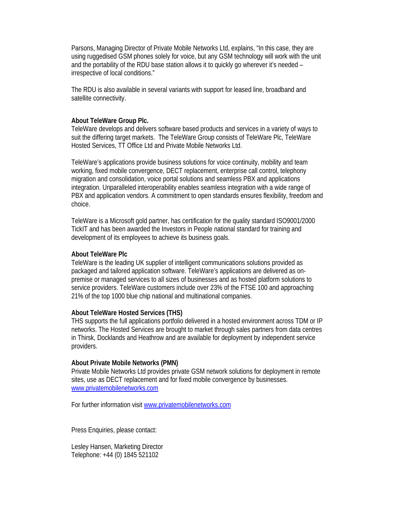Parsons, Managing Director of Private Mobile Networks Ltd, explains, "In this case, they are using ruggedised GSM phones solely for voice, but any GSM technology will work with the unit and the portability of the RDU base station allows it to quickly go wherever it's needed – irrespective of local conditions."

The RDU is also available in several variants with support for leased line, broadband and satellite connectivity.

### **About TeleWare Group Plc.**

TeleWare develops and delivers software based products and services in a variety of ways to suit the differing target markets. The TeleWare Group consists of TeleWare Plc, TeleWare Hosted Services, TT Office Ltd and Private Mobile Networks Ltd.

TeleWare's applications provide business solutions for voice continuity, mobility and team working, fixed mobile convergence, DECT replacement, enterprise call control, telephony migration and consolidation, voice portal solutions and seamless PBX and applications integration. Unparalleled interoperability enables seamless integration with a wide range of PBX and application vendors. A commitment to open standards ensures flexibility, freedom and choice.

TeleWare is a Microsoft gold partner, has certification for the quality standard ISO9001/2000 TickIT and has been awarded the Investors in People national standard for training and development of its employees to achieve its business goals.

#### **About TeleWare Plc**

TeleWare is the leading UK supplier of intelligent communications solutions provided as packaged and tailored application software. TeleWare's applications are delivered as onpremise or managed services to all sizes of businesses and as hosted platform solutions to service providers. TeleWare customers include over 23% of the FTSE 100 and approaching 21% of the top 1000 blue chip national and multinational companies.

#### **About TeleWare Hosted Services (THS)**

THS supports the full applications portfolio delivered in a hosted environment across TDM or IP networks. The Hosted Services are brought to market through sales partners from data centres in Thirsk, Docklands and Heathrow and are available for deployment by independent service providers.

#### **About Private Mobile Networks (PMN)**

Private Mobile Networks Ltd provides private GSM network solutions for deployment in remote sites, use as DECT replacement and for fixed mobile convergence by businesses. www.privatemobilenetworks.com

For further information visit www.privatemobilenetworks.com

Press Enquiries, please contact:

Lesley Hansen, Marketing Director Telephone: +44 (0) 1845 521102